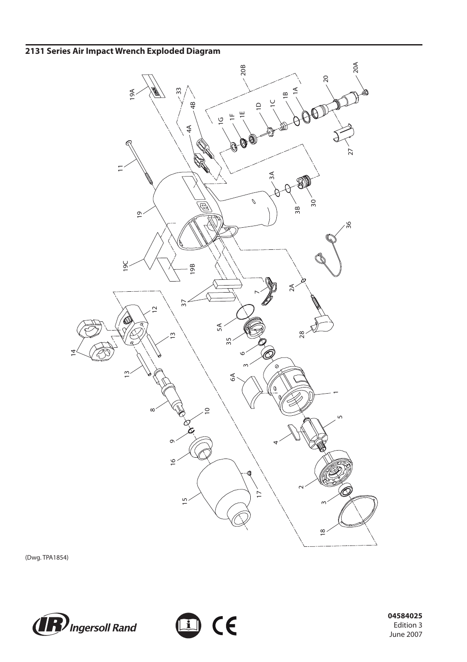## **2131 Series Air Impact Wrench Exploded Diagram**



(Dwg. TPA1854)





 **04584025** Edition 3 June 2007